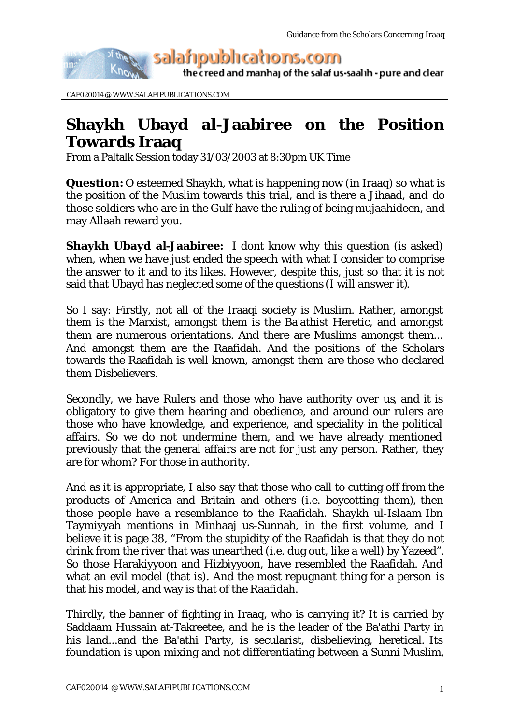

the creed and manhaj of the salaf us-saalih - pure and clear

CAF020014 @ WWW.SALAFIPUBLICATIONS.COM

## **Shaykh Ubayd al-Jaabiree on the Position Towards Iraaq**

From a Paltalk Session today 31/03/2003 at 8:30pm UK Time

**Question:** O esteemed Shaykh, what is happening now (in Iraaq) so what is the position of the Muslim towards this trial, and is there a Jihaad, and do those soldiers who are in the Gulf have the ruling of being mujaahideen, and may Allaah reward you.

**Shaykh Ubayd al-Jaabiree:** I dont know why this question (is asked) when, when we have just ended the speech with what I consider to comprise the answer to it and to its likes. However, despite this, just so that it is not said that Ubayd has neglected some of the questions (I will answer it).

So I say: Firstly, not all of the Iraaqi society is Muslim. Rather, amongst them is the Marxist, amongst them is the Ba'athist Heretic, and amongst them are numerous orientations. And there are Muslims amongst them... And amongst them are the Raafidah. And the positions of the Scholars towards the Raafidah is well known, amongst them are those who declared them Disbelievers.

Secondly, we have Rulers and those who have authority over us, and it is obligatory to give them hearing and obedience, and around our rulers are those who have knowledge, and experience, and speciality in the political affairs. So we do not undermine them, and we have already mentioned previously that the general affairs are not for just any person. Rather, they are for whom? For those in authority.

And as it is appropriate, I also say that those who call to cutting off from the products of America and Britain and others (i.e. boycotting them), then those people have a resemblance to the Raafidah. Shaykh ul-Islaam Ibn Taymiyyah mentions in Minhaaj us-Sunnah, in the first volume, and I believe it is page 38, "From the stupidity of the Raafidah is that they do not drink from the river that was unearthed (i.e. dug out, like a well) by Yazeed". So those Harakiyyoon and Hizbiyyoon, have resembled the Raafidah. And what an evil model (that is). And the most repugnant thing for a person is that his model, and way is that of the Raafidah.

Thirdly, the banner of fighting in Iraaq, who is carrying it? It is carried by Saddaam Hussain at-Takreetee, and he is the leader of the Ba'athi Party in his land...and the Ba'athi Party, is secularist, disbelieving, heretical. Its foundation is upon mixing and not differentiating between a Sunni Muslim,